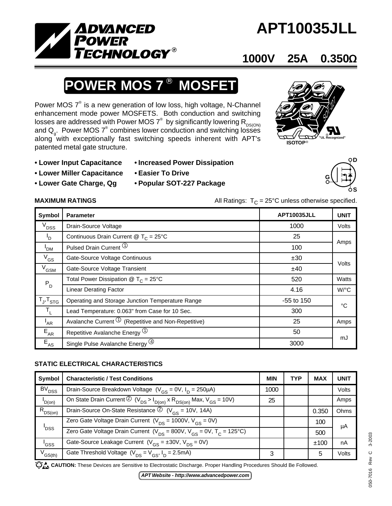

# **APT10035JLL**

## **1000V 25A 0.350**Ω

# **POWER MOS 7<sup>®</sup> MOSFET**

Power MOS  $7^\circ$  is a new generation of low loss, high voltage, N-Channel enhancement mode power MOSFETS. Both conduction and switching losses are addressed with Power MOS  $7^\circ$  by significantly lowering  $\mathsf{R}_{\mathsf{DS}(\mathsf{ON})}$ and  $\mathsf{Q}_{_{\mathsf{g}}}$ . Power MOS  $7^{\circ}$  combines lower conduction and switching losses along with exceptionally fast switching speeds inherent with APT's patented metal gate structure.



- 
- **Lower Miller Capacitance Easier To Drive**
- 

- **Lower Input Capacitance Increased Power Dissipation**
	-
- **Lower Gate Charge, Qg Popular SOT-227 Package**

### **MAXIMUM RATINGS**  $\qquad \qquad \text{All Ratings: } T_{C} = 25^{\circ} \text{C} \text{ unless otherwise specified.}$

| Symbol                    | <b>Parameter</b>                                                | <b>APT10035JLL</b> | <b>UNIT</b> |  |
|---------------------------|-----------------------------------------------------------------|--------------------|-------------|--|
| $V_{DSS}$                 | Drain-Source Voltage                                            | 1000               | Volts       |  |
| 'D                        | Continuous Drain Current @ $T_c = 25^{\circ}$ C                 | 25                 | Amps        |  |
| ' <sub>DM</sub>           | Pulsed Drain Current <sup>1</sup>                               | 100                |             |  |
| $V_{GS}$                  | Gate-Source Voltage Continuous                                  | ±30                |             |  |
| $V^{\text{GSM}}$          | Gate-Source Voltage Transient                                   | ±40                | Volts       |  |
| $\mathsf{P}_{\mathsf{D}}$ | Total Power Dissipation $@TC = 25°C$                            | 520                | Watts       |  |
|                           | <b>Linear Derating Factor</b>                                   | 4.16               | W/°C        |  |
| $T_{J}$ , $T_{STG}$       | Operating and Storage Junction Temperature Range                | -55 to 150         | °C          |  |
| $T_{\rm L}$               | Lead Temperature: 0.063" from Case for 10 Sec.                  | 300                |             |  |
| $I_{AR}$                  | Avalanche Current $\mathcal{O}$ (Repetitive and Non-Repetitive) | 25                 | Amps        |  |
| $E_{AR}$                  | Repetitive Avalanche Energy 1                                   | 50                 |             |  |
| $E_{AS}$                  | Single Pulse Avalanche Energy (4)                               | 3000               | mJ          |  |

### **STATIC ELECTRICAL CHARACTERISTICS**

| Symbol            | <b>Characteristic / Test Conditions</b>                                                                                | <b>MIN</b> | <b>TYP</b> | <b>MAX</b> | UNIT  |
|-------------------|------------------------------------------------------------------------------------------------------------------------|------------|------------|------------|-------|
| BV <sub>DSS</sub> | Drain-Source Breakdown Voltage ( $V_{GS}$ = 0V, $I_D$ = 250µA)                                                         | 1000       |            |            | Volts |
| $I_{D(0n)}$       | On State Drain Current $\overline{Q}$ (V <sub>DS</sub> > $I_{D(0n)}$ x R <sub>DS(on)</sub> Max, V <sub>GS</sub> = 10V) | 25         |            |            | Amps  |
| $R_{DS(on)}$      | Drain-Source On-State Resistance $\circled{2}$ (V <sub>GS</sub> = 10V, 14A)                                            |            |            | 0.350      | Ohms  |
| ' <sub>DSS</sub>  | Zero Gate Voltage Drain Current ( $V_{DS} = 1000V$ , $\overline{V_{CS} = 0V}$ )                                        |            |            | 100        | μA    |
|                   | Zero Gate Voltage Drain Current ( $V_{DS}$ = 800V, $V_{GS}$ = 0V, $T_c$ = 125°C)                                       |            |            | 500        |       |
| 'GSS              | Gate-Source Leakage Current $(V_{GS} = \pm 30V, V_{DS} = 0V)$                                                          |            |            | ±100       | nA    |
| $V_{GS(th)}$      | Gate Threshold Voltage $(V_{DS} = V_{GS}, I_D = 2.5 \text{mA})$                                                        | 3          |            | 5          | Volts |

CAUTION: These Devices are Sensitive to Electrostatic Discharge. Proper Handling Procedures Should Be Followed.

050-7016 Rev C 3-2003

050-7016

Rev C

3-2003

*APT Website - http://www.advancedpower.com*

**G D S**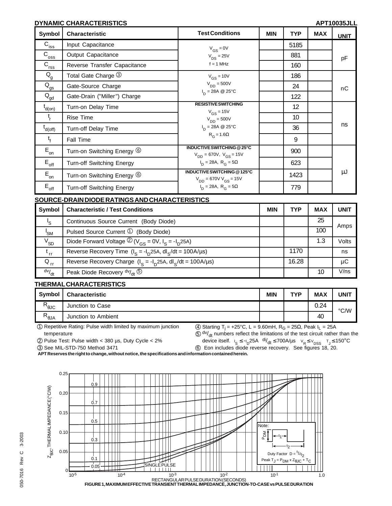#### **DYNAMIC CHARACTERISTICS APT10035JLL**

| Symbol                                  | <b>Characteristic</b>            | <b>Test Conditions</b>                                              | <b>MIN</b> | <b>TYP</b> | <b>MAX</b> | <b>UNIT</b> |
|-----------------------------------------|----------------------------------|---------------------------------------------------------------------|------------|------------|------------|-------------|
| $C_{\text{iss}}$                        | Input Capacitance                | $V_{GS} = 0V$                                                       |            | 5185       |            |             |
| $C_{\underline{oss}}$                   | Output Capacitance               | $V_{DS} = 25V$                                                      |            | 881        |            | pF          |
| $C_{rss}$                               | Reverse Transfer Capacitance     | $f = 1$ MHz                                                         |            | 160        |            |             |
| $Q_{\rm g}$                             | Total Gate Charge 3              | $V_{GS}$ = 10V                                                      |            | 186        |            |             |
| $Q_{gs}$                                | Gate-Source Charge               | $V_{DD} = 500V$                                                     |            | 24         |            | пC          |
| $\bar{\mathsf{Q}}_{\underline{\sf gd}}$ | Gate-Drain ("Miller") Charge     | $I_D = 28A \ @ 25^{\circ}C$                                         |            | 122        |            |             |
| $t_{d(on)}$                             | Turn-on Delay Time               | <b>RESISTIVE SWITCHING</b><br>$V_{GS}$ = 15V                        |            | 12         |            |             |
| $t_{\rm r}$                             | <b>Rise Time</b>                 | $V_{DD} = 500V$                                                     |            | 10         |            |             |
| $t_{d(off)}$                            | Turn-off Delay Time              | $I_{D} = 28A \ @ 25^{\circ}C$                                       |            | 36         |            | ns          |
| $t_{f}$                                 | Fall Time                        | $R_G = 1.6\Omega$                                                   |            | 9          |            |             |
| $\mathsf{E}_{\mathsf{on}}$              | Turn-on Switching Energy 6       | <b>INDUCTIVE SWITCHING @ 25°C</b><br>$V_{DD} = 670V, V_{GS} = 15V$  |            | 900        |            |             |
| $E_{\text{off}}$                        | Turn-off Switching Energy        | $I_{D} = 28A, R_{G} = 5\Omega$                                      |            | 623        |            |             |
| $\mathsf{E}_{\mathsf{on}}$              | Turn-on Switching Energy 6       | INDUCTIVE SWITCHING @125°C<br>$V_{DD}$ = 670V V <sub>GS</sub> = 15V |            | 1423       |            | μJ          |
| $E_{\text{off}}$                        | <b>Turn-off Switching Energy</b> | $I_D$ = 28A, R <sub>G</sub> = 5Ω                                    |            | 779        |            |             |

**SOURCE-DRAIN DIODE RATINGS AND CHARACTERISTICS**

| Symbol          | <b>Characteristic / Test Conditions</b>                          | <b>MIN</b> | <b>TYP</b> | <b>MAX</b> | <b>UNIT</b> |
|-----------------|------------------------------------------------------------------|------------|------------|------------|-------------|
| 's              | Continuous Source Current (Body Diode)                           |            |            | 25         | Amps        |
| ' <sub>SM</sub> | Pulsed Source Current $\mathcal D$ (Body Diode)                  |            |            | 100        |             |
| $V_{SD}$        | Diode Forward Voltage $\mathcal{D}(V_{GS} = 0V, I_S = -I_D 25A)$ |            |            | 1.3        | Volts       |
| $t_{rr}$        | Reverse Recovery Time $(I_S = -I_D 25A, dl_S/dt = 100A/\mu s)$   |            | 1170       |            | ns          |
| $Q_{\text{rf}}$ | Reverse Recovery Charge $(I_s = -I_p 25A, dl_s/dt = 100A/\mu s)$ |            | 16.28      |            | μC          |
| dv/dt           | Peak Diode Recovery $dv/dt$ (5)                                  |            |            | 10         | V/ns        |

#### **THERMAL CHARACTERISTICS**

| <b>Symbol</b> | <b>Characteristic</b> | <b>MIN</b> | <b>TVP</b> | <b>MAX</b> | UNIT |
|---------------|-----------------------|------------|------------|------------|------|
| ₽<br>.01C     | Junction to Case      |            |            | 0.24       | °C/W |
| Þ<br>$A\cup$  | Junction to Ambient   |            |            | 40         |      |

1 Repetitive Rating: Pulse width limited by maximum junction temperature

 $\textcircled{4}$  Starting T<sub>j</sub> = +25°C, L = 9.60mH, R<sub>G</sub> = 25Ω, Peak I<sub>L</sub> = 25A  $50$  dv/<sub>dt</sub> numbers reflect the limitations of the test circuit rather than the

2 Pulse Test: Pulse width < 380 µs, Duty Cycle < 2%

device itself.  $I_S \le -I_D$ 25A  $\frac{di}{dt}$  ≤ 700A/µs  $V_R \le V_{DSS}$   $T_J \le 150^{\circ}$ C

3 See MIL-STD-750 Method 3471

6 Eon includes diode reverse recovery. See figures 18, 20.

**APT Reserves the right to change, without notice, the specifications and information contained herein.**

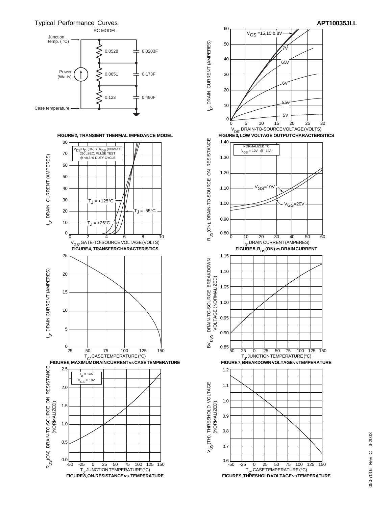Typical Performance Curves





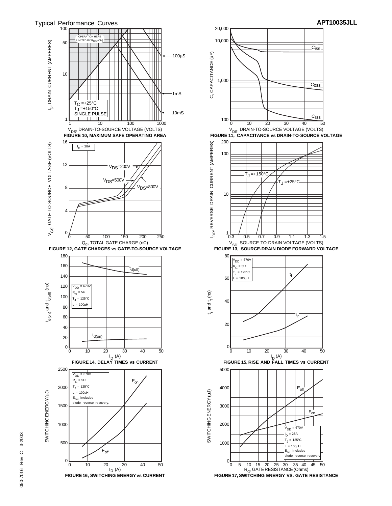